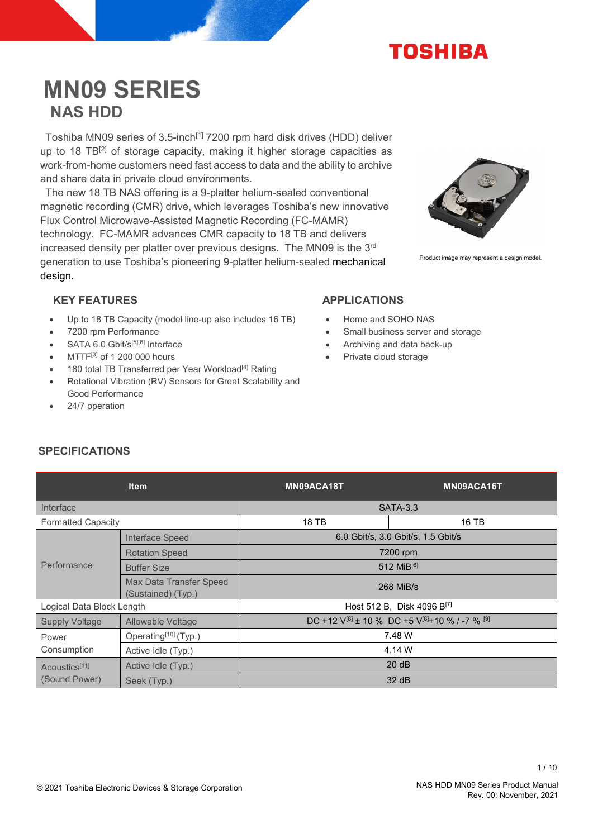

# **MN09 SERIES NAS HDD**

Toshiba MN09 series of 3.5-inch<sup>[1]</sup> 7200 rpm hard disk drives (HDD) deliver up to 18 TB<sup>[2]</sup> of storage capacity, making it higher storage capacities as work-from-home customers need fast access to data and the ability to archive and share data in private cloud environments.

The new 18 TB NAS offering is a 9-platter helium-sealed conventional magnetic recording (CMR) drive, which leverages Toshiba's new innovative Flux Control Microwave-Assisted Magnetic Recording (FC-MAMR) technology. FC-MAMR advances CMR capacity to 18 TB and delivers increased density per platter over previous designs. The MN09 is the 3<sup>rd</sup> generation to use Toshiba's pioneering 9-platter helium-sealed mechanical design.



Product image may represent a design model.

# KEY FEATURES APPLICATIONS

- Up to 18 TB Capacity (model line-up also includes 16 TB)
- 7200 rpm Performance
- SATA 6.0 Gbit/s[5][6] Interface
- MTTF[3] of 1 200 000 hours
- 180 total TB Transferred per Year Workload<sup>[4]</sup> Rating
- Rotational Vibration (RV) Sensors for Great Scalability and Good Performance
- 24/7 operation

- Home and SOHO NAS
- Small business server and storage
- Archiving and data back-up
- Private cloud storage

# **SPECIFICATIONS**

|                                                                    | <b>Item</b>                                   | MN09ACA18T                             | MN09ACA16T                                                          |  |
|--------------------------------------------------------------------|-----------------------------------------------|----------------------------------------|---------------------------------------------------------------------|--|
| Interface                                                          |                                               | <b>SATA-3.3</b>                        |                                                                     |  |
| <b>Formatted Capacity</b>                                          |                                               | 18 TB                                  | 16 TB                                                               |  |
|                                                                    | Interface Speed                               | 6.0 Gbit/s, 3.0 Gbit/s, 1.5 Gbit/s     |                                                                     |  |
|                                                                    | <b>Rotation Speed</b>                         | 7200 rpm                               |                                                                     |  |
| Performance                                                        | <b>Buffer Size</b>                            | 512 MiB[6]                             |                                                                     |  |
|                                                                    | Max Data Transfer Speed<br>(Sustained) (Typ.) | 268 MiB/s                              |                                                                     |  |
| Logical Data Block Length                                          |                                               | Host 512 B, Disk 4096 B <sup>[7]</sup> |                                                                     |  |
| <b>Supply Voltage</b>                                              | Allowable Voltage                             |                                        | DC +12 $V^{[8]}$ ± 10 % DC +5 $V^{[8]}$ +10 % / -7 % <sup>[9]</sup> |  |
| Power<br>Consumption<br>Acoustics <sup>[11]</sup><br>(Sound Power) | Operating <sup>[10]</sup> (Typ.)              | 7.48 W                                 |                                                                     |  |
|                                                                    | Active Idle (Typ.)                            | 4.14 W                                 |                                                                     |  |
|                                                                    | Active Idle (Typ.)                            | 20 dB                                  |                                                                     |  |
|                                                                    | Seek (Typ.)                                   |                                        | 32 dB                                                               |  |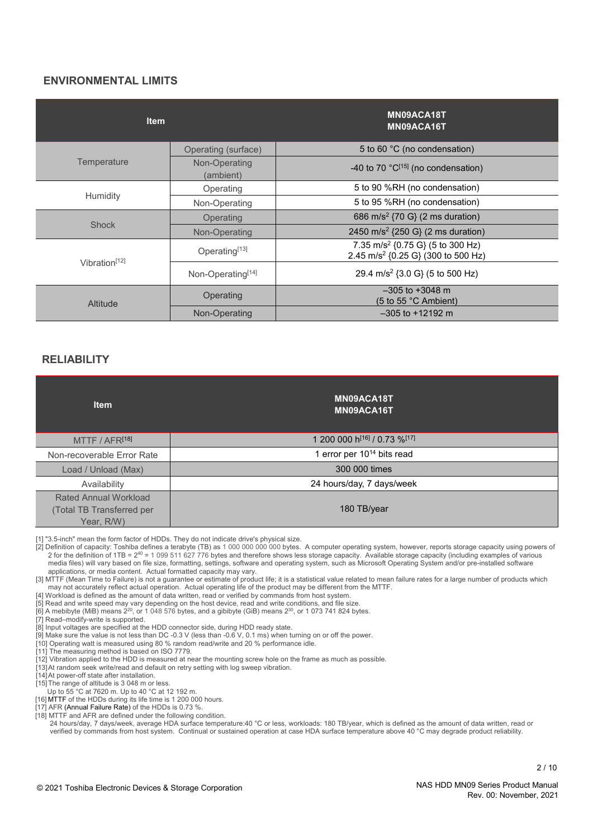#### **ENVIRONMENTAL LIMITS**

| <b>Item</b>               |                            | MN09ACA18T<br>MN09ACA16T                                                                       |
|---------------------------|----------------------------|------------------------------------------------------------------------------------------------|
|                           | Operating (surface)        | 5 to 60 °C (no condensation)                                                                   |
| Temperature               | Non-Operating<br>(ambient) | -40 to 70 $°C^{[15]}$ (no condensation)                                                        |
|                           | Operating                  | 5 to 90 %RH (no condensation)                                                                  |
| Humidity                  | Non-Operating              | 5 to 95 %RH (no condensation)                                                                  |
|                           | Operating                  | 686 m/s <sup>2</sup> {70 G} (2 ms duration)                                                    |
| <b>Shock</b>              | Non-Operating              | 2450 m/s <sup>2</sup> {250 G} (2 ms duration)                                                  |
| Vibration <sup>[12]</sup> | Operating <sup>[13]</sup>  | 7.35 m/s <sup>2</sup> {0.75 G} (5 to 300 Hz)<br>2.45 m/s <sup>2</sup> {0.25 G} (300 to 500 Hz) |
|                           | Non-Operating[14]          | 29.4 m/s <sup>2</sup> {3.0 G} (5 to 500 Hz)                                                    |
| Altitude                  | Operating                  | $-305$ to $+3048$ m<br>$(5 \text{ to } 55 \text{ °C}$ Ambient)                                 |
|                           | Non-Operating              | $-305$ to $+12192$ m                                                                           |

#### **RELIABILITY**

| <b>Item</b>                                                             | MN09ACA18T<br>MN09ACA16T               |
|-------------------------------------------------------------------------|----------------------------------------|
| MTTF / AFR <sup>[18]</sup>                                              | 1 200 000 h[16] / 0.73 %[17]           |
| Non-recoverable Error Rate                                              | 1 error per 10 <sup>14</sup> bits read |
| Load / Unload (Max)                                                     | 300 000 times                          |
| Availability                                                            | 24 hours/day, 7 days/week              |
| <b>Rated Annual Workload</b><br>(Total TB Transferred per<br>Year, R/W) | 180 TB/year                            |

[1] "3.5-inch" mean the form factor of HDDs. They do not indicate drive's physical size.

[2] Definition of capacity: Toshiba defines a terabyte (TB) as 1 000 000 000 000 bytes. A computer operating system, however, reports storage capacity using powers of 2 for the definition of 1TB = 2<sup>40</sup> = 1 099 511 627 776 media files) will vary based on file size, formatting, settings, software and operating system, such as Microsoft Operating System and/or pre-installed software applications, or media content. Actual formatted capacity may vary.

[3] MTTF (Mean Time to Failure) is not a guarantee or estimate of product life; it is a statistical value related to mean failure rates for a large number of products which may not accurately reflect actual operation. Actual operating life of the product may be different from the MTTF.

[4] Workload is defined as the amount of data written, read or verified by commands from host system.

- [5] Read and write speed may vary depending on the host device, read and write conditions, and file size.
- [6] A mebibyte (MiB) means 2<sup>20</sup>, or 1 048 576 bytes, and a gibibyte (GiB) means 2<sup>30</sup>, or 1 073 741 824 bytes.

[7] Read–modify-write is supported.

[8] Input voltages are specified at the HDD connector side, during HDD ready state.

[9] Make sure the value is not less than DC -0.3 V (less than -0.6 V, 0.1 ms) when turning on or off the power.

[10] Operating watt is measured using 80 % random read/write and 20 % performance idle.

[11] The measuring method is based on ISO 7779.

[12] Vibration applied to the HDD is measured at near the mounting screw hole on the frame as much as possible.

[13]At random seek write/read and default on retry setting with log sweep vibration.

[14]At power-off state after installation.

[15] The range of altitude is 3 048 m or less.

Up to 55 °C at 7620 m. Up to 40 °C at 12 192 m.

[16] MTTF of the HDDs during its life time is 1 200 000 hours.

[17] AFR (Annual Failure Rate) of the HDDs is 0.73 %.

[18] MTTF and AFR are defined under the following condition.

24 hours/day, 7 days/week, average HDA surface temperature:40 °C or less, workloads: 180 TB/year, which is defined as the amount of data written, read or verified by commands from host system. Continual or sustained operation at case HDA surface temperature above 40 °C may degrade product reliability.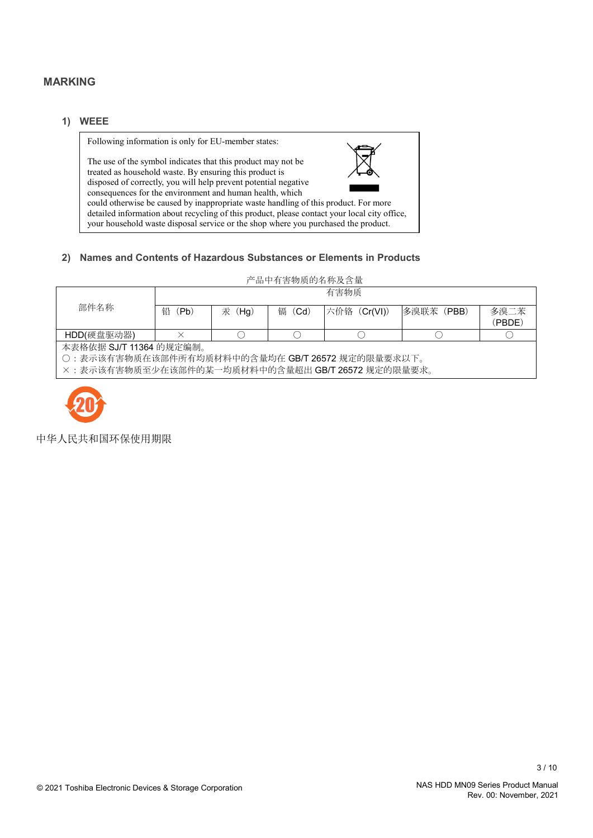## **MARKING**

#### **1) WEEE**

Following information is only for EU-member states:

The use of the symbol indicates that this product may not be treated as household waste. By ensuring this product is disposed of correctly, you will help prevent potential negative consequences for the environment and human health, which



could otherwise be caused by inappropriate waste handling of this product. For more detailed information about recycling of this product, please contact your local city office, your household waste disposal service or the shop where you purchased the product.

#### **2) Names and Contents of Hazardous Substances or Elements in Products**

#### 产品中有害物质的名称及含量

|                                                   | 有害物质      |           |           |              |            |                |
|---------------------------------------------------|-----------|-----------|-----------|--------------|------------|----------------|
| 部件名称                                              | 铅<br>(Pb) | 汞<br>(Hg) | 镉<br>(Cd) | 六价铬 (Cr(VI)) | 多溴联苯 (PBB) | 多溴二苯<br>(PBDE) |
| HDD(硬盘驱动器)                                        |           |           |           |              |            |                |
| 本表格依据 SJ/T 11364 的规定编制。                           |           |           |           |              |            |                |
| ○ : 表示该有害物质在该部件所有均质材料中的含量均在 GB/T 26572 规定的限量要求以下。 |           |           |           |              |            |                |

×:表示该有害物质至少在该部件的某一均质材料中的含量超出 GB/T 26572 规定的限量要求。



中华人民共和国环保使用期限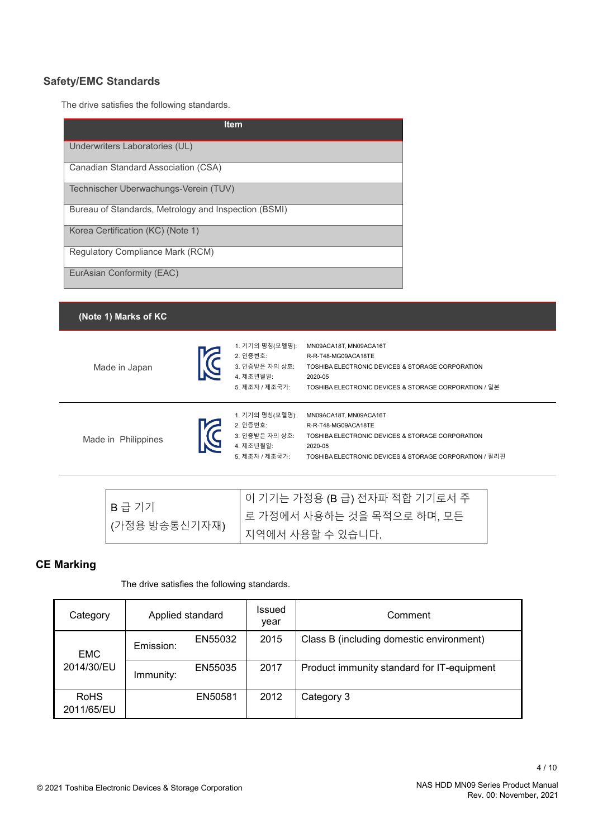# **Safety/EMC Standards**

The drive satisfies the following standards.

| <b>Item</b>                                          |
|------------------------------------------------------|
| Underwriters Laboratories (UL)                       |
| Canadian Standard Association (CSA)                  |
| Technischer Uberwachungs-Verein (TUV)                |
| Bureau of Standards, Metrology and Inspection (BSMI) |
| Korea Certification (KC) (Note 1)                    |
| Regulatory Compliance Mark (RCM)                     |
| EurAsian Conformity (EAC)                            |

#### **(Note 1) Marks of KC**

Made in Japan



1. 기기의 명칭(모델명): MN09ACA18T, MN09ACA16T 2. 인증번호: R-R-T48-MG09ACA18TE 3. 인증받은 자의 상호: TOSHIBA ELECTRONIC DEVICES & STORAGE CORPORATION 4. 제조년월일: 2020-05 5. 제조자 / 제조국가: TOSHIBA ELECTRONIC DEVICES & STORAGE CORPORATION / 일본

Made in Philippines



1. 기기의 명칭(모델명): MN09ACA18T, MN09ACA16T 2. 인증번호: R-R-T48-MG09ACA18TE 3. 인증받은 자의 상호: TOSHIBA ELECTRONIC DEVICES & STORAGE CORPORATION 5. 제조자 / 제조국가: TOSHIBA ELECTRONIC DEVICES & STORAGE CORPORATION / 필리핀

|               | Ⅰ 이 기기는 가정용 (B 급) 전자파 적합 기기로서 주 |
|---------------|---------------------------------|
| B급 기기         | 로 가정에서 사용하는 것을 목적으로 하며, 모든      |
| (가정용 방송통신기자재) | 지역에서 사용할 수 있습니다.                |

#### **CE Marking**

The drive satisfies the following standards.

| Category                  | Applied standard |         | Issued<br>year | Comment                                    |
|---------------------------|------------------|---------|----------------|--------------------------------------------|
| <b>EMC</b>                | Emission:        | EN55032 | 2015           | Class B (including domestic environment)   |
| 2014/30/EU                | Immunity:        | EN55035 | 2017           | Product immunity standard for IT-equipment |
| <b>RoHS</b><br>2011/65/EU |                  | EN50581 | 2012           | Category 3                                 |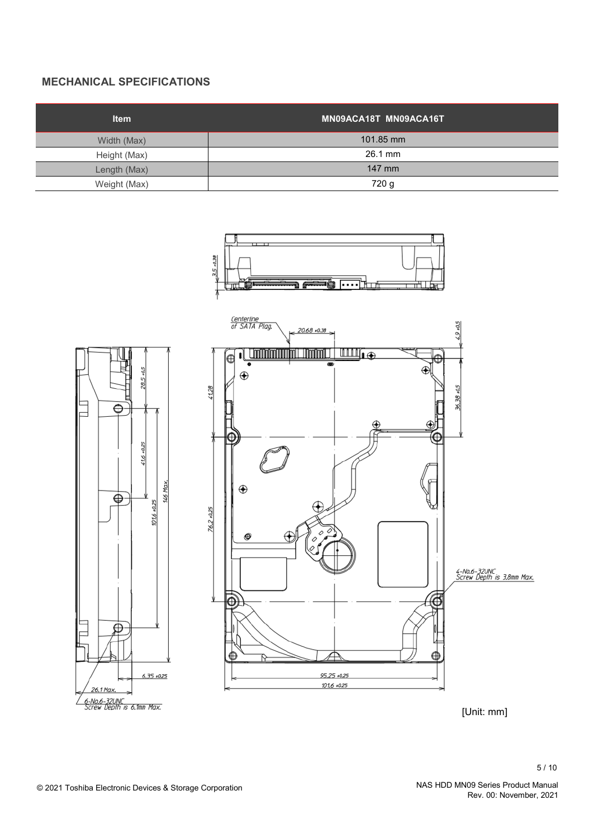# **MECHANICAL SPECIFICATIONS**

| <b>Item</b>  | MN09ACA18T MN09ACA16T |
|--------------|-----------------------|
| Width (Max)  | 101.85 mm             |
| Height (Max) | 26.1 mm               |
| Length (Max) | 147 mm                |
| Weight (Max) | 720 g                 |





Rev. 00: November, 2021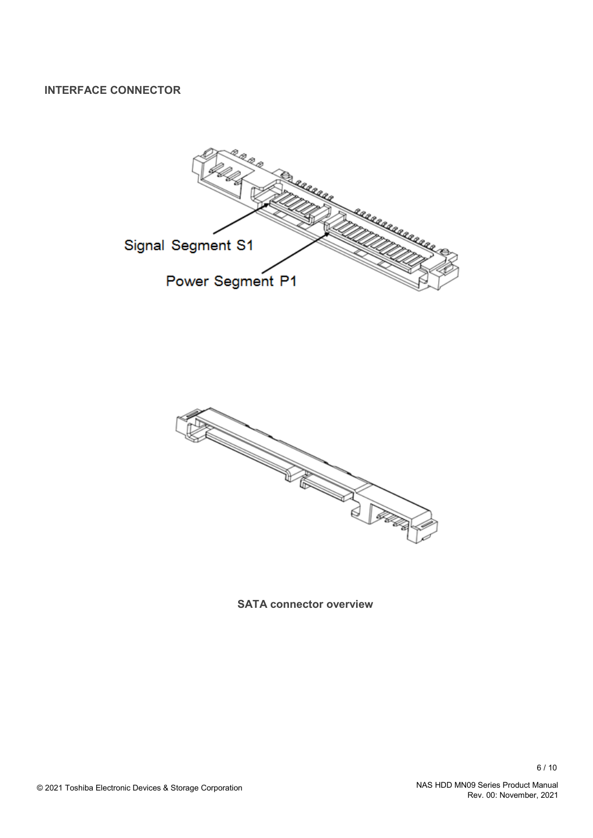**INTERFACE CONNECTOR**





**SATA connector overview**

Rev. 00: November, 2021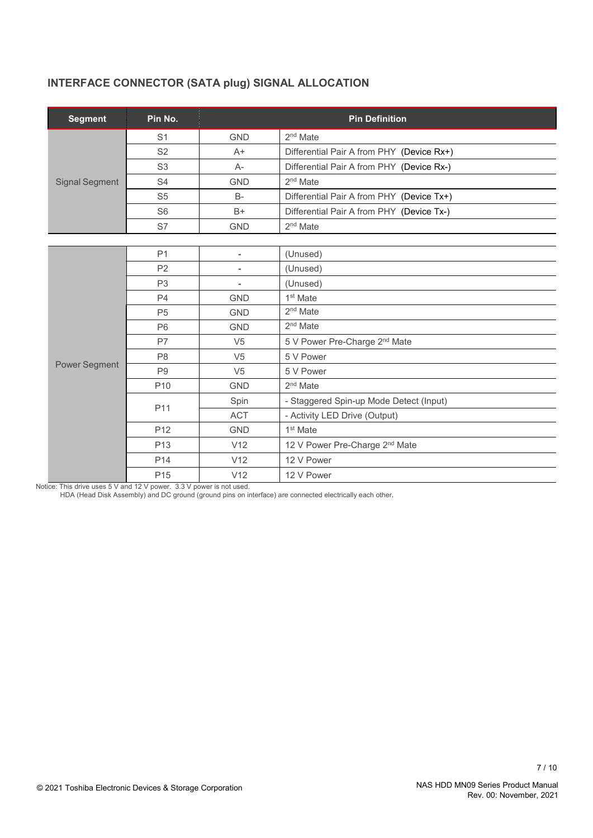# **INTERFACE CONNECTOR (SATA plug) SIGNAL ALLOCATION**

| <b>Segment</b>        | Pin No.         | <b>Pin Definition</b>    |                                            |  |
|-----------------------|-----------------|--------------------------|--------------------------------------------|--|
|                       | S <sub>1</sub>  | <b>GND</b>               | $2nd$ Mate                                 |  |
|                       | S <sub>2</sub>  | $A+$                     | Differential Pair A from PHY (Device Rx+)  |  |
|                       | S <sub>3</sub>  | $A-$                     | Differential Pair A from PHY (Device Rx-)  |  |
| <b>Signal Segment</b> | S <sub>4</sub>  | <b>GND</b>               | $2nd$ Mate                                 |  |
|                       | S <sub>5</sub>  | <b>B-</b>                | Differential Pair A from PHY (Device Tx+)  |  |
|                       | S <sub>6</sub>  | $B+$                     | Differential Pair A from PHY (Device Tx-)  |  |
|                       | S7              | <b>GND</b>               | $2nd$ Mate                                 |  |
|                       |                 |                          |                                            |  |
|                       | P <sub>1</sub>  | $\overline{\phantom{a}}$ | (Unused)                                   |  |
|                       | P <sub>2</sub>  | $\overline{\phantom{0}}$ | (Unused)                                   |  |
|                       | P <sub>3</sub>  | $\overline{\phantom{a}}$ | (Unused)                                   |  |
|                       | P4              | <b>GND</b>               | 1 <sup>st</sup> Mate                       |  |
|                       | P <sub>5</sub>  | <b>GND</b>               | 2 <sup>nd</sup> Mate                       |  |
|                       | P <sub>6</sub>  | <b>GND</b>               | 2 <sup>nd</sup> Mate                       |  |
|                       | P7              | V <sub>5</sub>           | 5 V Power Pre-Charge 2 <sup>nd</sup> Mate  |  |
|                       | P <sub>8</sub>  | V <sub>5</sub>           | 5 V Power                                  |  |
| Power Segment         | P <sub>9</sub>  | V <sub>5</sub>           | 5 V Power                                  |  |
|                       | P <sub>10</sub> | <b>GND</b>               | 2 <sup>nd</sup> Mate                       |  |
|                       | P11             | Spin                     | - Staggered Spin-up Mode Detect (Input)    |  |
|                       |                 | <b>ACT</b>               | - Activity LED Drive (Output)              |  |
|                       | P <sub>12</sub> | <b>GND</b>               | 1 <sup>st</sup> Mate                       |  |
|                       | P <sub>13</sub> | V12                      | 12 V Power Pre-Charge 2 <sup>nd</sup> Mate |  |
|                       | P <sub>14</sub> | V12                      | 12 V Power                                 |  |
|                       | P <sub>15</sub> | V12                      | 12 V Power                                 |  |

Notice: This drive uses 5 V and 12 V power. 3.3 V power is not used.

HDA (Head Disk Assembly) and DC ground (ground pins on interface) are connected electrically each other.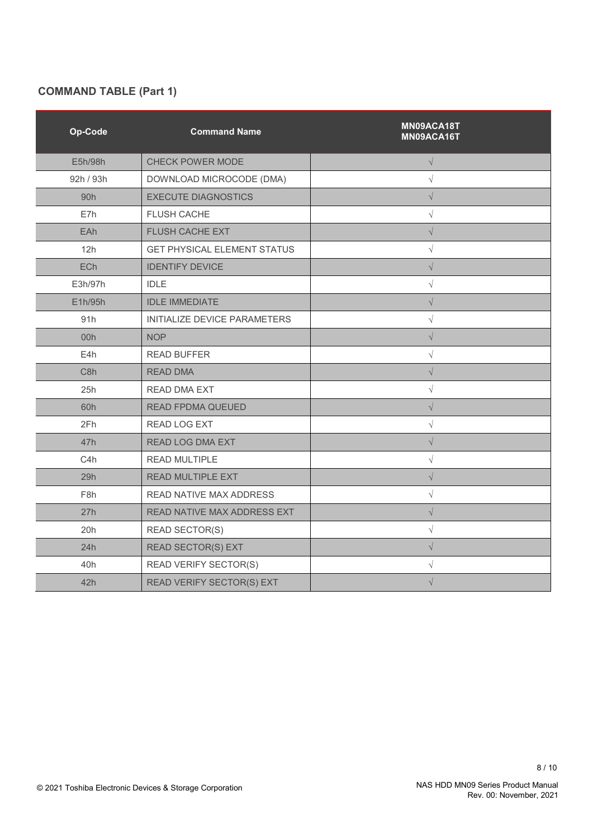# **COMMAND TABLE (Part 1)**

| Op-Code          | <b>Command Name</b>                | MN09ACA18T<br>MN09ACA16T |
|------------------|------------------------------------|--------------------------|
| E5h/98h          | CHECK POWER MODE                   | $\sqrt{}$                |
| 92h / 93h        | DOWNLOAD MICROCODE (DMA)           | $\sqrt{}$                |
| 90 <sub>h</sub>  | <b>EXECUTE DIAGNOSTICS</b>         | $\sqrt{}$                |
| E7h              | <b>FLUSH CACHE</b>                 | $\sqrt{}$                |
| EAh              | FLUSH CACHE EXT                    | $\sqrt{}$                |
| 12h              | <b>GET PHYSICAL ELEMENT STATUS</b> | $\sqrt{}$                |
| ECh              | <b>IDENTIFY DEVICE</b>             | $\sqrt{}$                |
| E3h/97h          | <b>IDLE</b>                        | $\sqrt{}$                |
| E1h/95h          | <b>IDLE IMMEDIATE</b>              | $\sqrt{}$                |
| 91h              | INITIALIZE DEVICE PARAMETERS       | $\sqrt{}$                |
| 00h              | <b>NOP</b>                         | $\sqrt{}$                |
| E4h              | <b>READ BUFFER</b>                 | $\sqrt{}$                |
| C <sub>8</sub> h | <b>READ DMA</b>                    | $\sqrt{}$                |
| 25h              | <b>READ DMA EXT</b>                | $\sqrt{}$                |
| 60h              | <b>READ FPDMA QUEUED</b>           | $\sqrt{}$                |
| 2Fh              | <b>READ LOG EXT</b>                | $\sqrt{}$                |
| 47h              | <b>READ LOG DMA EXT</b>            | $\sqrt{}$                |
| C4h              | <b>READ MULTIPLE</b>               | $\sqrt{}$                |
| 29h              | READ MULTIPLE EXT                  | $\sqrt{}$                |
| F <sub>8</sub> h | READ NATIVE MAX ADDRESS            | $\sqrt{}$                |
| 27h              | READ NATIVE MAX ADDRESS EXT        | $\sqrt{}$                |
| 20h              | <b>READ SECTOR(S)</b>              | $\sqrt{}$                |
| 24h              | <b>READ SECTOR(S) EXT</b>          | $\sqrt{}$                |
| 40h              | <b>READ VERIFY SECTOR(S)</b>       | $\sqrt{}$                |
| 42h              | READ VERIFY SECTOR(S) EXT          | $\sqrt{}$                |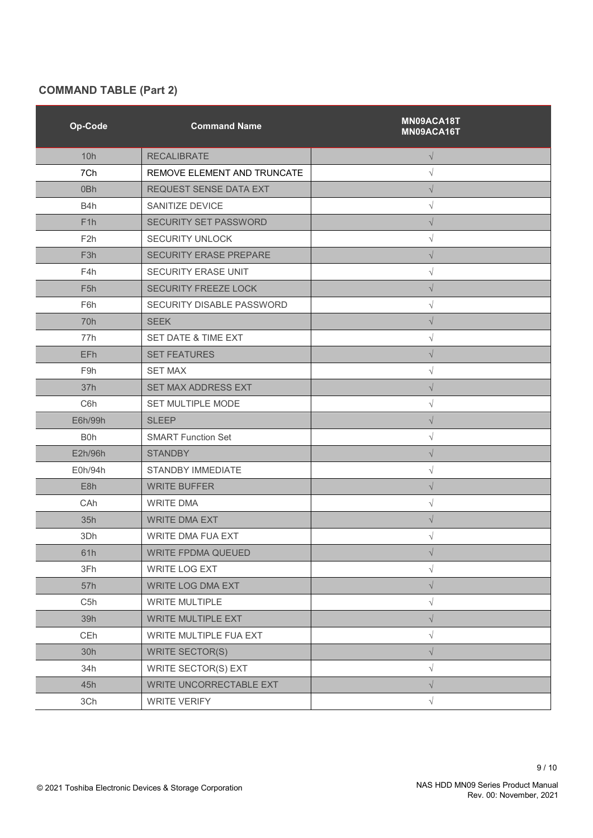# **COMMAND TABLE (Part 2)**

| Op-Code          | <b>Command Name</b>          | MN09ACA18T<br>MN09ACA16T |
|------------------|------------------------------|--------------------------|
| 10h              | <b>RECALIBRATE</b>           | $\sqrt{}$                |
| 7Ch              | REMOVE ELEMENT AND TRUNCATE  | V                        |
| 0 <sub>Bh</sub>  | REQUEST SENSE DATA EXT       | $\sqrt{}$                |
| B <sub>4</sub> h | SANITIZE DEVICE              | $\sqrt{}$                |
| F <sub>1</sub> h | <b>SECURITY SET PASSWORD</b> | $\sqrt{}$                |
| F <sub>2</sub> h | <b>SECURITY UNLOCK</b>       | $\sqrt{}$                |
| F <sub>3</sub> h | SECURITY ERASE PREPARE       | $\sqrt{}$                |
| F4h              | SECURITY ERASE UNIT          | $\sqrt{}$                |
| F <sub>5</sub> h | SECURITY FREEZE LOCK         | $\sqrt{}$                |
| F6h              | SECURITY DISABLE PASSWORD    | $\sqrt{}$                |
| 70h              | <b>SEEK</b>                  | $\sqrt{}$                |
| 77h              | SET DATE & TIME EXT          | $\sqrt{}$                |
| EFh              | <b>SET FEATURES</b>          | $\sqrt{}$                |
| F <sub>9</sub> h | <b>SET MAX</b>               | $\sqrt{}$                |
| 37h              | <b>SET MAX ADDRESS EXT</b>   | $\sqrt{}$                |
| C <sub>6</sub> h | SET MULTIPLE MODE            | $\sqrt{}$                |
| E6h/99h          | <b>SLEEP</b>                 | $\sqrt{}$                |
| B <sub>0</sub> h | <b>SMART Function Set</b>    | V                        |
| E2h/96h          | <b>STANDBY</b>               | $\sqrt{}$                |
| E0h/94h          | STANDBY IMMEDIATE            | $\sqrt{}$                |
| E8h              | <b>WRITE BUFFER</b>          | $\sqrt{}$                |
| CAh              | <b>WRITE DMA</b>             | $\sqrt{}$                |
| 35h              | <b>WRITE DMA EXT</b>         | $\sqrt{}$                |
| 3Dh              | WRITE DMA FUA EXT            | $\sqrt{}$                |
| 61h              | WRITE FPDMA QUEUED           | $\sqrt{}$                |
| 3Fh              | WRITE LOG EXT                | $\sqrt{}$                |
| 57h              | <b>WRITE LOG DMA EXT</b>     | $\sqrt{}$                |
| C <sub>5</sub> h | <b>WRITE MULTIPLE</b>        | $\sqrt{}$                |
| 39h              | <b>WRITE MULTIPLE EXT</b>    | $\sqrt{}$                |
| CEh              | WRITE MULTIPLE FUA EXT       | $\sqrt{}$                |
| 30h              | <b>WRITE SECTOR(S)</b>       | $\sqrt{}$                |
| 34h              | WRITE SECTOR(S) EXT          | $\sqrt{}$                |
| 45h              | WRITE UNCORRECTABLE EXT      | $\sqrt{}$                |
| 3Ch              | <b>WRITE VERIFY</b>          | $\sqrt{}$                |